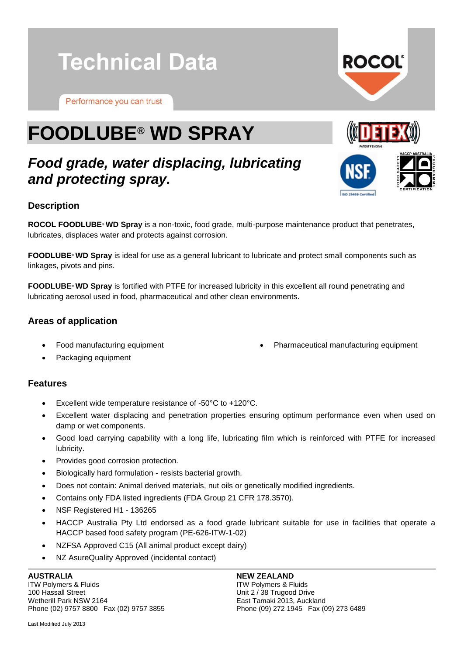# **Technical Data**

Performance you can trust

## **FOODLUBE® WD SPRAY**

### *Food grade, water displacing, lubricating and protecting spray.*

#### **Description**

**ROCOL FOODLUBE® WD Spray** is a non-toxic, food grade, multi-purpose maintenance product that penetrates, lubricates, displaces water and protects against corrosion.

**FOODLUBE® WD Spray** is ideal for use as a general lubricant to lubricate and protect small components such as linkages, pivots and pins.

**FOODLUBE® WD Spray** is fortified with PTFE for increased lubricity in this excellent all round penetrating and lubricating aerosol used in food, pharmaceutical and other clean environments.

#### **Areas of application**

• Food manufacturing equipment

• Pharmaceutical manufacturing equipment

• Packaging equipment

#### **Features**

- Excellent wide temperature resistance of -50°C to +120°C.
- Excellent water displacing and penetration properties ensuring optimum performance even when used on damp or wet components.
- Good load carrying capability with a long life, lubricating film which is reinforced with PTFE for increased lubricity.
- Provides good corrosion protection.
- Biologically hard formulation resists bacterial growth.
- Does not contain: Animal derived materials, nut oils or genetically modified ingredients.
- Contains only FDA listed ingredients (FDA Group 21 CFR 178.3570).
- NSF Registered H1 136265
- HACCP Australia Pty Ltd endorsed as a food grade lubricant suitable for use in facilities that operate a HACCP based food safety program (PE-626-ITW-1-02)
- NZFSA Approved C15 (All animal product except dairy)
- NZ AsureQuality Approved (incidental contact)

#### **AUSTRALIA**

ITW Polymers & Fluids 100 Hassall Street Wetherill Park NSW 2164 Phone (02) 9757 8800 Fax (02) 9757 3855





**NEW ZEALAND**

ITW Polymers & Fluids Unit 2 / 38 Trugood Drive East Tamaki 2013, Auckland Phone (09) 272 1945 Fax (09) 273 6489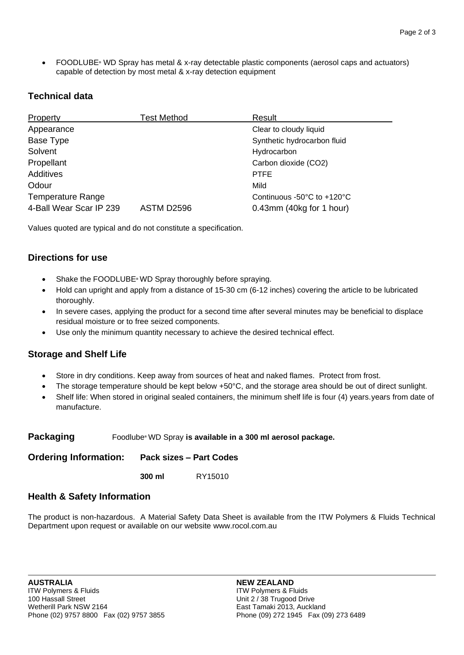• FOODLUBE**®** WD Spray has metal & x-ray detectable plastic components (aerosol caps and actuators) capable of detection by most metal & x-ray detection equipment

### **Technical data**

| Property                 | <b>Test Method</b> | Result                                         |
|--------------------------|--------------------|------------------------------------------------|
| Appearance               |                    | Clear to cloudy liquid                         |
| Base Type                |                    | Synthetic hydrocarbon fluid                    |
| Solvent                  |                    | Hydrocarbon                                    |
| Propellant               |                    | Carbon dioxide (CO2)                           |
| Additives                |                    | <b>PTFE</b>                                    |
| Odour                    |                    | Mild                                           |
| <b>Temperature Range</b> |                    | Continuous -50 $\degree$ C to +120 $\degree$ C |
| 4-Ball Wear Scar IP 239  | <b>ASTM D2596</b>  | 0.43mm (40kg for 1 hour)                       |

Values quoted are typical and do not constitute a specification.

#### **Directions for use**

- Shake the FOODLUBE**®** WD Spray thoroughly before spraying.
- Hold can upright and apply from a distance of 15-30 cm (6-12 inches) covering the article to be lubricated thoroughly.
- In severe cases, applying the product for a second time after several minutes may be beneficial to displace residual moisture or to free seized components.
- Use only the minimum quantity necessary to achieve the desired technical effect.

#### **Storage and Shelf Life**

- Store in dry conditions. Keep away from sources of heat and naked flames. Protect from frost.
- The storage temperature should be kept below +50°C, and the storage area should be out of direct sunlight.
- Shelf life: When stored in original sealed containers, the minimum shelf life is four (4) years.years from date of manufacture.

#### **Packaging** Foodlube**®** WD Spray **is available in a 300 ml aerosol package.**

#### **Ordering Information: Pack sizes – Part Codes**

**300 ml** RY15010

#### **Health & Safety Information**

The product is non-hazardous. A Material Safety Data Sheet is available from the ITW Polymers & Fluids Technical Department upon request or available on our website www.rocol.com.au